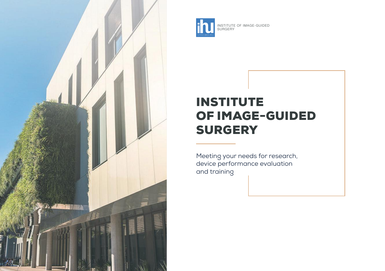



INSTITUTE OF IMAGE-GUIDED SURGERY

# INSTITUTE OF IMAGE-GUIDED **SURGERY**

Meeting your needs for research, device performance evaluation and training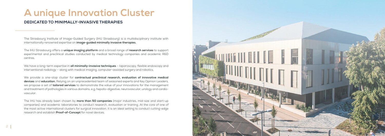

# **A unique Innovation Cluster**

#### **DEDICATED TO MINIMALLY-INVASIVE THERAPIES**

The Strasbourg Institute of Image-Guided Surgery (IHU Strasbourg) is a multidisciplinary institute with internationally renowned expertise on **image-guided minimally invasive therapies.** 

We have a long-term expertise in **all minimally-invasive techniques** - laparoscopy, flexible endoscopy and interventional radiology – along with medical imaging, computer-assisted surgery and robotics.

The IHU Strasbourg offers a **unique imaging platform** and a broad range of **research services** to support experimental and preclinical studies conducted by medical technology companies and academic R&D centres.

We provide a one-stop cluster for **contractual preclinical research, evaluation of innovative medical devices** and **education.** Relying on an unprecedented team of seasoned experts and Key Opinion Leaders, we propose a set of **tailored services** to demonstrate the value of your innovations for the management and treatment of pathologies in various domains, e.g. hepato-digestive, neurovascular, urology and cardiovascular.

The IHU has already been chosen by **more than 50 companies** (major industries, mid-size and start-up companies) and academic laboratories to conduct research, evaluation or training. At the core of one of the most active international clusters for surgical innovation, it is an ideal setting to conduct cutting-edge research and establish **Proof-of-Concept** for novel devices.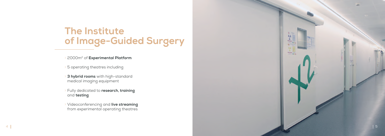# **The Institute of Image-Guided Surgery**

Ʃ 2000m2 of **Experimental Platform**

**3 hybrid rooms** with high-standard medical imaging equipment

Ʃ 5 operating theatres including

Ʃ Fully dedicated to **research, training**  and **testing**

Ʃ Videoconferencing and **live streaming**  from experimental operating theatres

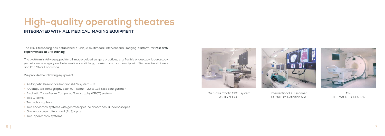# **High-quality operating theatres**

#### **INTEGRATED WITH ALL MEDICAL IMAGING EQUIPMENT**

The IHU Strasbourg has established a unique multimodal interventional imaging platform for **research, experimentation** and **training**.

The platform is fully equipped for all image-guided surgery practices, e. g. flexible endoscopy, laparoscopy, percutaneous surgery and interventional radiology, thanks to our partnership with Siemens Healthineers and Karl Storz Endoskope.

We provide the following equipment:

- A Magnetic Resonance Imaging (MRI) system 1.5T
- $\rightarrow$  A Computed Tomography scan (CT-scan) 20 to 128 slice configuration
- > A robotic Cone-Beam Computed Tomography (CBCT) system
- Ʃ Two C-arms
- Ʃ Two echographers
- Ʃ Two endoscopy systems with gastroscopes, colonoscopes, duodenoscopes
- One endoscopic ultrasound (EUS) system
- **Two laparoscopy systems**



Multi-axis robotic CBCT system ARTIS ZEEGO

Interventional CT scanner SOMATOM Definition AS+



MRI 1,5T MAGNETOM AERA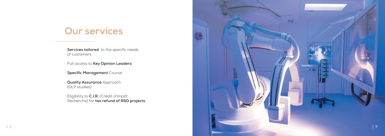

# **Our services**

- **Services tailored** to the specific needs of customers
- Ʃ Full access to **Key Opinion Leaders**
- **Specific Management Course**
- **Quality Assurance** Approach (GLP studies)
- Ʃ Eligibility to **C.I.R.** (Crédit d'Impôt Recherche) for **tax refund of R&D projects**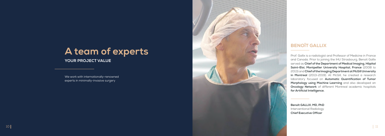

# **A team of experts**

**YOUR PROJECT VALUE**

We work with internationally-renowned experts in minimally-invasive surgery

> **Benoît GALLIX, MD, PhD** Interventional Radiology **Chief Executive Officer**

## **BENOÎT GALLIX**

Prof. Gallix is a radiologist and Professor of Medicine in France and Canada. Prior to joining the IHU Strasbourg, Benoit Gallix served as **Chief of the Department of Medical Imaging, Hôpital Saint-Eloi, Montpellier University Hospital, France** (2008 to 2013) and **Chief of the Imaging Department at McGill University in Montreal** (2013-2019). At McGill, he created a research laboratory focused on **Automatic Quantification of Tumor Morphology using Machine Learning** and also developed an **Oncology Network** of different Montreal academic hospitals **for Artificial Intelligence.**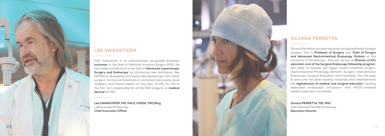



## **LEE SWANSTRÖM**

Prof. Swanström is an internationally recognized American **innovator** in the field of Minimally-Invasive Surgery (MIS). He has made contributions in the field of **Advanced Laparoscopic Surgery and Endoscopy** by introducing new techniques (like NOTES) or developing techniques (like laparoscopic anti-reflux surgery). He has authored and co-authored many books, book chapters, and clinical papers on the topic of MIS. As CIO of the IHU, he is responsible for all the R&D projects on **medical devices** for MIS.

## **SILVANA PERRETTA**

Silvana Perretta is an internationally recognized Italian foregut surgeon. She is **Professor of Surgery** and **Chief of Foregut and Advanced Gastrointestinal Endoscopy Division** at the University of Strasbourg. She also serves as **Director of IHU education and of the Surgical Endoscopy fellowship program**. Her fields of interest are Upper Gastro-intestinal surgery, Gastrointestinal Physiology, Bariatric Surgery, Interventional Endoscopy, Surgical Education and Innovation. For the past 8 years she has been leading nationally and internationally the **digitalization of medical and surgical education** creating dedicated endoscopic simulators and MOOC-oriented medical education worldwide.

**Lee SWANSTRÖM, MD, FACS, FASGE, FRCSEng**  Laparoscopy/Endoscopy **Chief Innovation Officer**

**Silvana PERRETTA, MD, PhD**  Interventional Flexible Endoscopy **Education Director**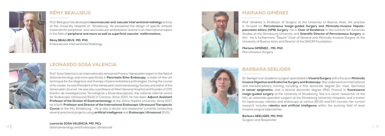14 15 Gastroenterology and Endoscopic Ultrasound **Leonardo SOSA VALENCIA, MD, MCs** 

## **LEONARDO SOSA VALENCIA**



Prof. Sosa Valencia is an internationally renowned Franco-Venezuelan expert in the field of Gastroenterology and more specifically in **Pancreatic Echo-Endoscopy**, a state-of-the-art technique for the diagnosis and therapy of pancreatobiliary pathologies. During the course of his career, he was President of the Venezuelan Gastroenterology Society and editor of the Venezuelan Journal. He was also a professor at West General Hospital and founder of CITE (Centro de Investigaciones Tecnológicas y Ecoendoscópicas), the national referral centre for Endoscopic Ultrasound (EUS) in Caracas. Since 2010, he has been **Adjunct Assistant Professor of the Division of Gastroenterology** at the Johns Hopkins University. Since 2017, he is both **Professor and Director of the International Endoscopic Ultrasound Therapeutic Course** at the IHU Strasbourg. He is also a doctor and researcher currently conducting several preclinical projects using **artificial intelligence** and **Endoscopic Ultrasound** (EUS).



**Rémy BEAUJEUX, MD, PhD** Endovascular Interventional Radiology





## **RÉMY BEAUJEUX**

Prof. Beaujeux has developed **neurovascular and vascular interventional radiology** activity at the University Hospital of Strasbourg. He pioneered the design of specific embolic materials for peripheral and neurovascular embolization and he is an international expert in the field of **peripheral and neuro as well as superficial vascular malformations.**

> **Mariano GIMÉNEZ, , MD, PhD** Percutaneous Surgery



**Barbara SEELIGER, MD, PhD** Surgeon and Researcher

## **MARIANO GIMÉNEZ**

Prof. Giménez is Professor of Surgery at the University of Buenos Aires. His practice is focused on **Percutaneous Image-guided Surgery and Minimally-invasive Hepatopancreato-biliary (HPB) Surgery**. He is **Chair of Excellence** in the Institute for Advances Studies at the Strasbourg University and **Scientific Director of Percutaneous Surgery** at IHU. He is furthermore "Taquini" Chair of General and Minimally Invasive Surgery at the University of Buenos Aires and Director of the DAICIM Foundation.

### **BARBARA SEELIGER**

Dr. Seeliger is an academic surgeon specialized in **Visceral Surgery** with a focus on **Minimally Invasive Digestive and Endocrine Surgery and Endoscopy**. She underwent an international and transdisciplinary training, including a first doctorate degree (Dr. med., Germany) **in cancer epigenetics,** and a second doctorate degree (PhD, France) in **fluorescence image-guided surgery** at the University of Strasbourg. She is a senior researcher at the IHU, an associate specialist surgeon at the Strasbourg University Hospitals, and a trainer for laparoscopy, robotics and endoscopy at various IRCAD and IHU courses. Her current research includes **robotics and artificial intelligence** within the evolving field of least invasive surgical approaches.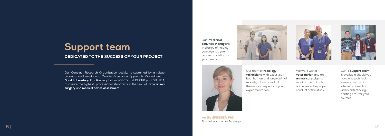# **Support team DEDICATED TO THE SUCCESS OF YOUR PROJECT**

Our Contract Research Organization activity is sustained by a robust organization based on a Quality Assurance Approach. We adhere to **Good Laboratory Practice** regulations (OECD and 21 CFR part 58, FDA) to assure the highest professional standards in the field of **large animal surgery** and **medical device assessment**

Our **Preclinical activities Manager** is in charge of helping you organize your course according to your needs.



**Amélie GRESSIER, PhD** Preclinical activities Manager





We work with a **veterinarian** and an **animal caretaker** to monitor the animals and ensure the proper conduct of the study.

Our team of **radiology technicians,** with expertise in both human and large animal models, takes care of all the imaging aspects of your

experimentation.

Our **IT Support Team** is available should you have any technical issues in terms of internet connection, videoconferencing, printing etc… for your courses.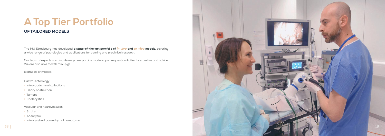

# **A Top Tier Portfolio**

#### **OF TAILORED MODELS**

The IHU Strasbourg has developed **a state-of-the-art portfolio of** *in vivo* **and** *ex vivo* **models,** covering a wide range of pathologies and applications for training and preclinical research.

Our team of experts can also develop new porcine models upon request and offer its expertise and advice. We are also able to with mini-pigs.

Examples of models:

Gastro-enterology:

Ʃ Intra-abdominal collections

**Biliary obstruction** 

Ʃ Tumors

Ʃ Cholecystitis

Vascular and neurovascular:

Ʃ Stroke

**Aneurysm** 

**Intracerebral parenchymal hematoma**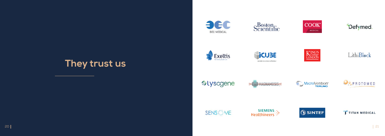





## LithiBlock









# **They trust us**









**Uyscgene** 



# **SENSOME**

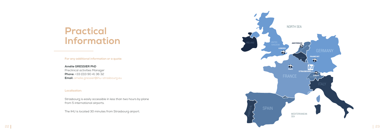# **Practical Information**

**For any additional information or a quote:**

**Amélie GRESSIER PhD** Preclinical activities Manager **Phone:** +33 (0)3 90 41 36 32 **Email:** amelie.gressier@ihu-strasbourg.eu

#### **Localisation:**



Strasbourg is easily accessible in less than two hours by plane from 5 international airports.

The IHU is located 30 minutes from Strasbourg airport.